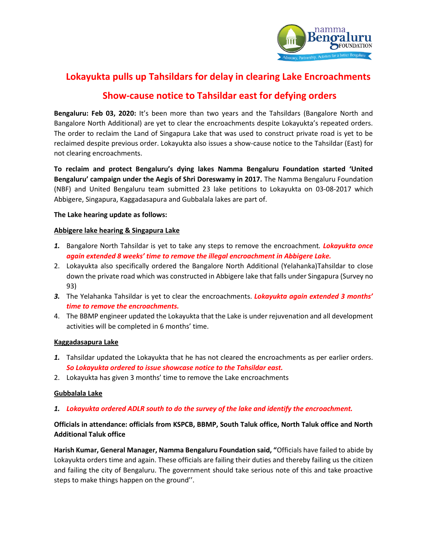

# **Lokayukta pulls up Tahsildars for delay in clearing Lake Encroachments**

# **Show-cause notice to Tahsildar east for defying orders**

**Bengaluru: Feb 03, 2020:** It's been more than two years and the Tahsildars (Bangalore North and Bangalore North Additional) are yet to clear the encroachments despite Lokayukta's repeated orders. The order to reclaim the Land of Singapura Lake that was used to construct private road is yet to be reclaimed despite previous order. Lokayukta also issues a show-cause notice to the Tahsildar (East) for not clearing encroachments.

**To reclaim and protect Bengaluru's dying lakes Namma Bengaluru Foundation started 'United Bengaluru' campaign under the Aegis of Shri Doreswamy in 2017.** The Namma Bengaluru Foundation (NBF) and United Bengaluru team submitted 23 lake petitions to Lokayukta on 03-08-2017 which Abbigere, Singapura, Kaggadasapura and Gubbalala lakes are part of.

### **The Lake hearing update as follows:**

#### **Abbigere lake hearing & Singapura Lake**

- *1.* Bangalore North Tahsildar is yet to take any steps to remove the encroachment*. Lokayukta once again extended 8 weeks' time to remove the illegal encroachment in Abbigere Lake.*
- 2. Lokayukta also specifically ordered the Bangalore North Additional (Yelahanka)Tahsildar to close down the private road which was constructed in Abbigere lake that falls under Singapura (Survey no 93)
- *3.* The Yelahanka Tahsildar is yet to clear the encroachments. *Lokayukta again extended 3 months' time to remove the encroachments.*
- 4. The BBMP engineer updated the Lokayukta that the Lake is under rejuvenation and all development activities will be completed in 6 months' time.

### **Kaggadasapura Lake**

- *1.* Tahsildar updated the Lokayukta that he has not cleared the encroachments as per earlier orders. *So Lokayukta ordered to issue showcase notice to the Tahsildar east.*
- 2. Lokayukta has given 3 months' time to remove the Lake encroachments

### **Gubbalala Lake**

### *1. Lokayukta ordered ADLR south to do the survey of the lake and identify the encroachment.*

## **Officials in attendance: officials from KSPCB, BBMP, South Taluk office, North Taluk office and North Additional Taluk office**

**Harish Kumar, General Manager, Namma Bengaluru Foundation said, "**Officials have failed to abide by Lokayukta orders time and again. These officials are failing their duties and thereby failing us the citizen and failing the city of Bengaluru. The government should take serious note of this and take proactive steps to make things happen on the ground''.